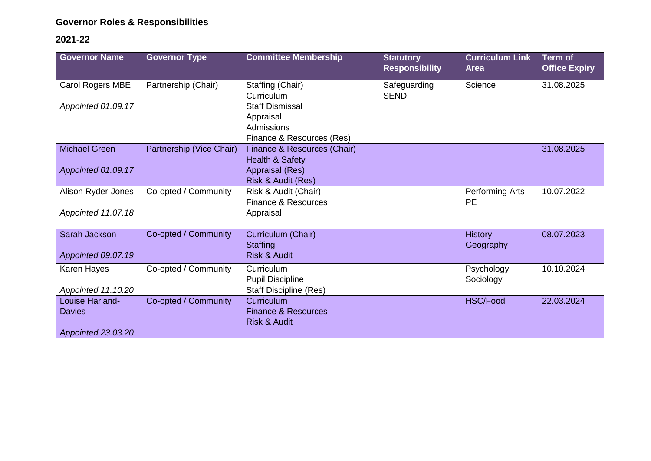## **Governor Roles & Responsibilities**

## **2021-22**

| <b>Governor Name</b> | <b>Governor Type</b>     | <b>Committee Membership</b>                              | <b>Statutory</b><br><b>Responsibility</b> | <b>Curriculum Link</b><br><b>Area</b> | Term of<br><b>Office Expiry</b> |
|----------------------|--------------------------|----------------------------------------------------------|-------------------------------------------|---------------------------------------|---------------------------------|
| Carol Rogers MBE     | Partnership (Chair)      | Staffing (Chair)                                         | Safeguarding                              | Science                               | 31.08.2025                      |
| Appointed 01.09.17   |                          | Curriculum<br><b>Staff Dismissal</b>                     | <b>SEND</b>                               |                                       |                                 |
|                      |                          | Appraisal                                                |                                           |                                       |                                 |
|                      |                          | Admissions                                               |                                           |                                       |                                 |
|                      |                          | Finance & Resources (Res)                                |                                           |                                       |                                 |
| <b>Michael Green</b> | Partnership (Vice Chair) | Finance & Resources (Chair)                              |                                           |                                       | 31.08.2025                      |
| Appointed 01.09.17   |                          | Health & Safety<br>Appraisal (Res)                       |                                           |                                       |                                 |
|                      |                          | Risk & Audit (Res)                                       |                                           |                                       |                                 |
| Alison Ryder-Jones   | Co-opted / Community     | Risk & Audit (Chair)                                     |                                           | Performing Arts                       | 10.07.2022                      |
|                      |                          | Finance & Resources                                      |                                           | <b>PE</b>                             |                                 |
| Appointed 11.07.18   |                          | Appraisal                                                |                                           |                                       |                                 |
| Sarah Jackson        | Co-opted / Community     | Curriculum (Chair)                                       |                                           | <b>History</b>                        | 08.07.2023                      |
|                      |                          | <b>Staffing</b>                                          |                                           | Geography                             |                                 |
| Appointed 09.07.19   |                          | <b>Risk &amp; Audit</b>                                  |                                           |                                       |                                 |
| Karen Hayes          | Co-opted / Community     | Curriculum                                               |                                           | Psychology                            | 10.10.2024                      |
| Appointed 11.10.20   |                          | <b>Pupil Discipline</b><br><b>Staff Discipline (Res)</b> |                                           | Sociology                             |                                 |
| Louise Harland-      | Co-opted / Community     | Curriculum                                               |                                           | <b>HSC/Food</b>                       | 22.03.2024                      |
| Davies               |                          | <b>Finance &amp; Resources</b>                           |                                           |                                       |                                 |
|                      |                          | <b>Risk &amp; Audit</b>                                  |                                           |                                       |                                 |
| Appointed 23.03.20   |                          |                                                          |                                           |                                       |                                 |